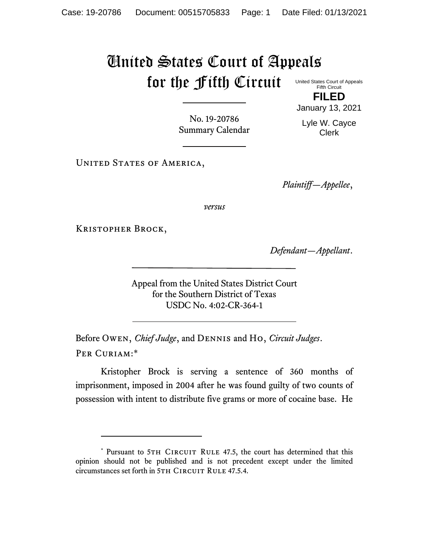## United States Court of Appeals for the Fifth Circuit United States Court of Appeals

Fifth Circuit **FILED**

No. 19-20786 Summary Calendar January 13, 2021 Lyle W. Cayce Clerk

UNITED STATES OF AMERICA,

*Plaintiff—Appellee*,

*versus*

Kristopher Brock,

*Defendant—Appellant*.

Appeal from the United States District Court for the Southern District of Texas USDC No. 4:02-CR-364-1

Before Owen, *Chief Judge*, and Dennis and Ho, *Circuit Judges*. Per Curiam:\*

Kristopher Brock is serving a sentence of 360 months of imprisonment, imposed in 2004 after he was found guilty of two counts of possession with intent to distribute five grams or more of cocaine base. He

<sup>\*</sup> Pursuant to 5TH CIRCUIT RULE 47.5, the court has determined that this opinion should not be published and is not precedent except under the limited circumstances set forth in 5TH CIRCUIT RULE 47.5.4.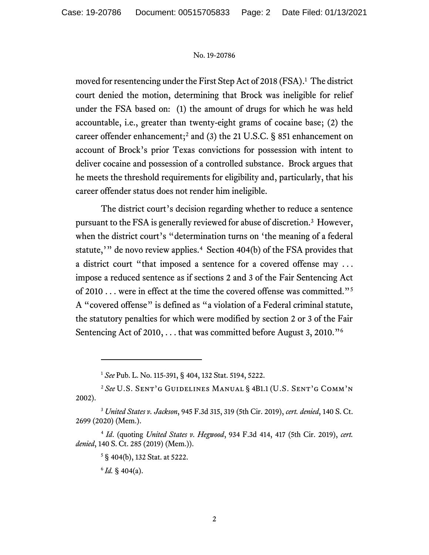## No. 19-20786

moved for resentencing under the First Step Act of 2018 (FSA). 1 The district court denied the motion, determining that Brock was ineligible for relief under the FSA based on: (1) the amount of drugs for which he was held accountable, i.e., greater than twenty-eight grams of cocaine base; (2) the career offender enhancement; <sup>2</sup> and (3) the 21 U.S.C. § 851 enhancement on account of Brock's prior Texas convictions for possession with intent to deliver cocaine and possession of a controlled substance. Brock argues that he meets the threshold requirements for eligibility and, particularly, that his career offender status does not render him ineligible.

The district court's decision regarding whether to reduce a sentence pursuant to the FSA is generally reviewed for abuse of discretion.<sup>3</sup> However, when the district court's "determination turns on 'the meaning of a federal statute,'" de novo review applies.<sup>4</sup> Section 404(b) of the FSA provides that a district court "that imposed a sentence for a covered offense may . . . impose a reduced sentence as if sections 2 and 3 of the Fair Sentencing Act of 2010 . . . were in effect at the time the covered offense was committed."<sup>5</sup> A "covered offense" is defined as "a violation of a Federal criminal statute, the statutory penalties for which were modified by section 2 or 3 of the Fair Sentencing Act of 2010, ... that was committed before August 3, 2010."<sup>6</sup>

<sup>1</sup> *See* Pub. L. No. 115-391, § 404, 132 Stat. 5194, 5222.

<sup>2</sup> *See* U.S. Sent'g Guidelines Manual § 4B1.1 (U.S. Sent'g Comm'n 2002).

<sup>3</sup> *United States v. Jackson*, 945 F.3d 315, 319 (5th Cir. 2019), *cert. denied*, 140 S. Ct. 2699 (2020) (Mem.).

<sup>4</sup> *Id*. (quoting *United States v. Hegwood*, 934 F.3d 414, 417 (5th Cir. 2019), *cert. denied*, 140 S. Ct. 285 (2019) (Mem.)).

<sup>5</sup> § 404(b), 132 Stat. at 5222.

 $6$  *Id.* § 404(a).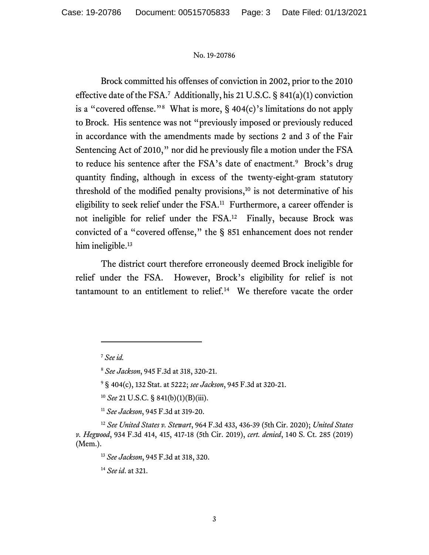## No. 19-20786

Brock committed his offenses of conviction in 2002, prior to the 2010 effective date of the FSA. 7 Additionally, his 21 U.S.C. § 841(a)(1) conviction is a "covered offense."<sup>8</sup> What is more,  $\S$  404(c)'s limitations do not apply to Brock. His sentence was not "previously imposed or previously reduced in accordance with the amendments made by sections 2 and 3 of the Fair Sentencing Act of 2010," nor did he previously file a motion under the FSA to reduce his sentence after the FSA's date of enactment.<sup>9</sup> Brock's drug quantity finding, although in excess of the twenty-eight-gram statutory threshold of the modified penalty provisions, <sup>10</sup> is not determinative of his eligibility to seek relief under the FSA.<sup>11</sup> Furthermore, a career offender is not ineligible for relief under the FSA. 12 Finally, because Brock was convicted of a "covered offense," the § 851 enhancement does not render him ineligible.<sup>13</sup>

The district court therefore erroneously deemed Brock ineligible for relief under the FSA. However, Brock's eligibility for relief is not tantamount to an entitlement to relief.<sup>14</sup> We therefore vacate the order

<sup>10</sup> *See* 21 U.S.C. § 841(b)(1)(B)(iii).

<sup>11</sup> *See Jackson*, 945 F.3d at 319-20.

<sup>12</sup> *See United States v. Stewart*, 964 F.3d 433, 436-39 (5th Cir. 2020); *United States v. Hegwood*, 934 F.3d 414, 415, 417-18 (5th Cir. 2019), *cert. denied*, 140 S. Ct. 285 (2019) (Mem.).

<sup>13</sup> *See Jackson*, 945 F.3d at 318, 320.

<sup>14</sup> *See id*. at 321.

<sup>7</sup> *See id.* 

<sup>8</sup> *See Jackson*, 945 F.3d at 318, 320-21.

<sup>9</sup> § 404(c), 132 Stat. at 5222; *see Jackson*, 945 F.3d at 320-21.